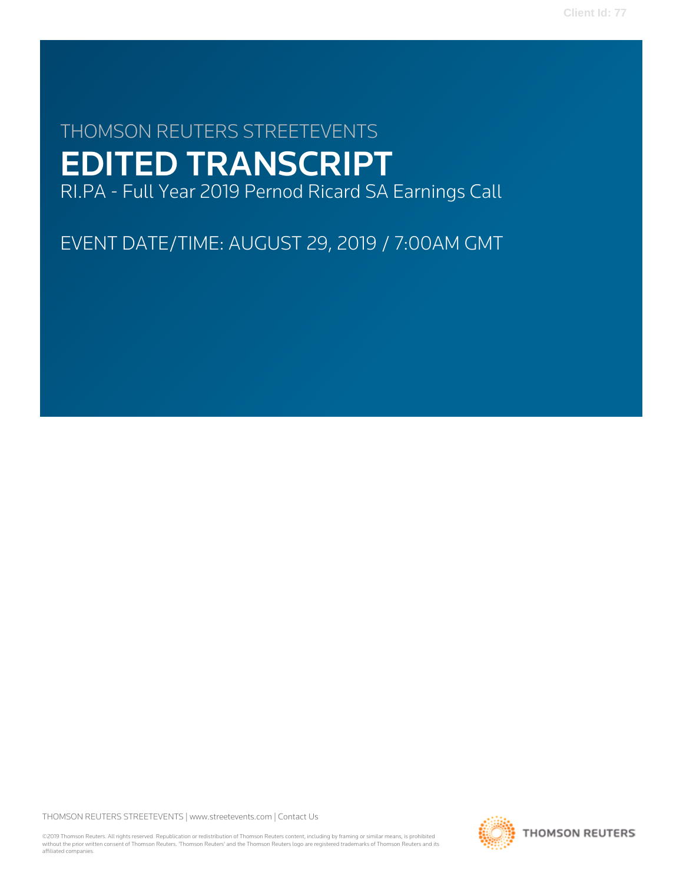# THOMSON REUTERS STREETEVENTS EDITED TRANSCRIPT

RI.PA - Full Year 2019 Pernod Ricard SA Earnings Call

EVENT DATE/TIME: AUGUST 29, 2019 / 7:00AM GMT

THOMSON REUTERS STREETEVENTS | [www.streetevents.com](http://www.streetevents.com) | [Contact Us](http://www010.streetevents.com/contact.asp)

©2019 Thomson Reuters. All rights reserved. Republication or redistribution of Thomson Reuters content, including by framing or similar means, is prohibited without the prior written consent of Thomson Reuters. 'Thomson Reuters' and the Thomson Reuters logo are registered trademarks of Thomson Reuters and its affiliated companies.

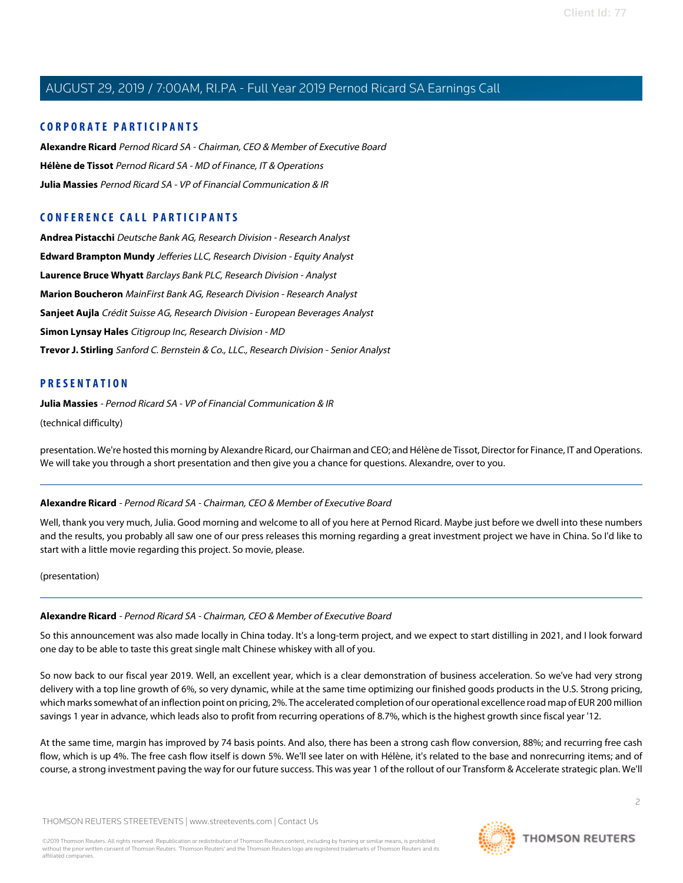## **CORPORATE PARTICIPANTS**

**[Alexandre Ricard](#page-1-0)** Pernod Ricard SA - Chairman, CEO & Member of Executive Board **[Hélène de Tissot](#page-6-0)** Pernod Ricard SA - MD of Finance, IT & Operations **[Julia Massies](#page-1-1)** Pernod Ricard SA - VP of Financial Communication & IR

## **CONFERENCE CALL PARTICIPANTS**

**[Andrea Pistacchi](#page-15-0)** Deutsche Bank AG, Research Division - Research Analyst **[Edward Brampton Mundy](#page-11-0)** Jefferies LLC, Research Division - Equity Analyst **[Laurence Bruce Whyatt](#page-11-1)** Barclays Bank PLC, Research Division - Analyst **[Marion Boucheron](#page-9-0)** MainFirst Bank AG, Research Division - Research Analyst **[Sanjeet Aujla](#page-12-0)** Crédit Suisse AG, Research Division - European Beverages Analyst **[Simon Lynsay Hales](#page-13-0)** Citigroup Inc, Research Division - MD **[Trevor J. Stirling](#page-14-0)** Sanford C. Bernstein & Co., LLC., Research Division - Senior Analyst

#### <span id="page-1-1"></span>**PRESENTATION**

**Julia Massies** - Pernod Ricard SA - VP of Financial Communication & IR

(technical difficulty)

<span id="page-1-0"></span>presentation. We're hosted this morning by Alexandre Ricard, our Chairman and CEO; and Hélène de Tissot, Director for Finance, IT and Operations. We will take you through a short presentation and then give you a chance for questions. Alexandre, over to you.

#### **Alexandre Ricard** - Pernod Ricard SA - Chairman, CEO & Member of Executive Board

Well, thank you very much, Julia. Good morning and welcome to all of you here at Pernod Ricard. Maybe just before we dwell into these numbers and the results, you probably all saw one of our press releases this morning regarding a great investment project we have in China. So I'd like to start with a little movie regarding this project. So movie, please.

(presentation)

#### **Alexandre Ricard** - Pernod Ricard SA - Chairman, CEO & Member of Executive Board

So this announcement was also made locally in China today. It's a long-term project, and we expect to start distilling in 2021, and I look forward one day to be able to taste this great single malt Chinese whiskey with all of you.

So now back to our fiscal year 2019. Well, an excellent year, which is a clear demonstration of business acceleration. So we've had very strong delivery with a top line growth of 6%, so very dynamic, while at the same time optimizing our finished goods products in the U.S. Strong pricing, which marks somewhat of an inflection point on pricing, 2%. The accelerated completion of our operational excellence road map of EUR 200 million savings 1 year in advance, which leads also to profit from recurring operations of 8.7%, which is the highest growth since fiscal year '12.

At the same time, margin has improved by 74 basis points. And also, there has been a strong cash flow conversion, 88%; and recurring free cash flow, which is up 4%. The free cash flow itself is down 5%. We'll see later on with Hélène, it's related to the base and nonrecurring items; and of course, a strong investment paving the way for our future success. This was year 1 of the rollout of our Transform & Accelerate strategic plan. We'll

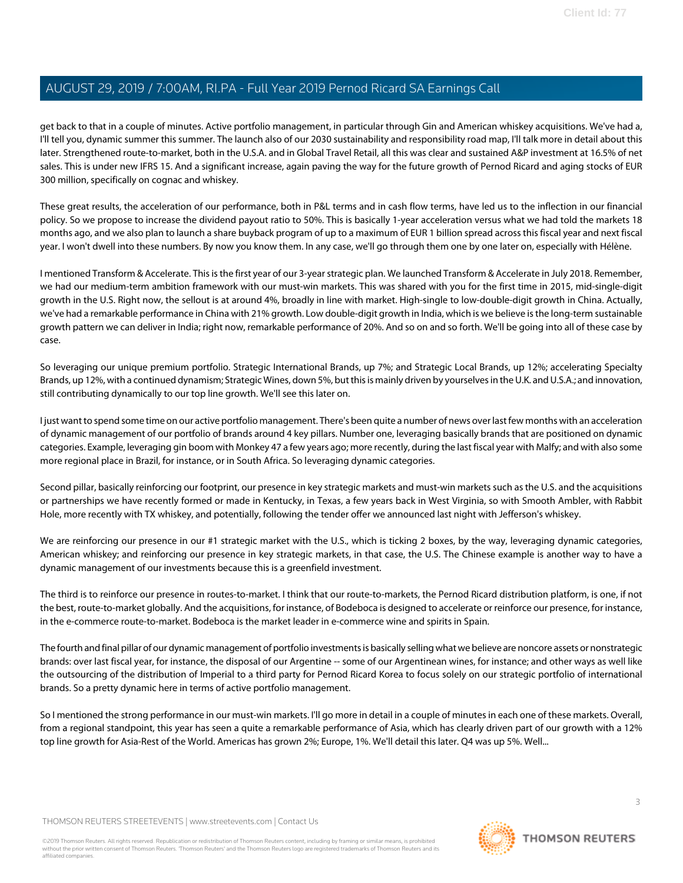get back to that in a couple of minutes. Active portfolio management, in particular through Gin and American whiskey acquisitions. We've had a, I'll tell you, dynamic summer this summer. The launch also of our 2030 sustainability and responsibility road map, I'll talk more in detail about this later. Strengthened route-to-market, both in the U.S.A. and in Global Travel Retail, all this was clear and sustained A&P investment at 16.5% of net sales. This is under new IFRS 15. And a significant increase, again paving the way for the future growth of Pernod Ricard and aging stocks of EUR 300 million, specifically on cognac and whiskey.

These great results, the acceleration of our performance, both in P&L terms and in cash flow terms, have led us to the inflection in our financial policy. So we propose to increase the dividend payout ratio to 50%. This is basically 1-year acceleration versus what we had told the markets 18 months ago, and we also plan to launch a share buyback program of up to a maximum of EUR 1 billion spread across this fiscal year and next fiscal year. I won't dwell into these numbers. By now you know them. In any case, we'll go through them one by one later on, especially with Hélène.

I mentioned Transform & Accelerate. This is the first year of our 3-year strategic plan. We launched Transform & Accelerate in July 2018. Remember, we had our medium-term ambition framework with our must-win markets. This was shared with you for the first time in 2015, mid-single-digit growth in the U.S. Right now, the sellout is at around 4%, broadly in line with market. High-single to low-double-digit growth in China. Actually, we've had a remarkable performance in China with 21% growth. Low double-digit growth in India, which is we believe is the long-term sustainable growth pattern we can deliver in India; right now, remarkable performance of 20%. And so on and so forth. We'll be going into all of these case by case.

So leveraging our unique premium portfolio. Strategic International Brands, up 7%; and Strategic Local Brands, up 12%; accelerating Specialty Brands, up 12%, with a continued dynamism; Strategic Wines, down 5%, but this is mainly driven by yourselves in the U.K. and U.S.A.; and innovation, still contributing dynamically to our top line growth. We'll see this later on.

I just want to spend some time on our active portfolio management. There's been quite a number of news over last few months with an acceleration of dynamic management of our portfolio of brands around 4 key pillars. Number one, leveraging basically brands that are positioned on dynamic categories. Example, leveraging gin boom with Monkey 47 a few years ago; more recently, during the last fiscal year with Malfy; and with also some more regional place in Brazil, for instance, or in South Africa. So leveraging dynamic categories.

Second pillar, basically reinforcing our footprint, our presence in key strategic markets and must-win markets such as the U.S. and the acquisitions or partnerships we have recently formed or made in Kentucky, in Texas, a few years back in West Virginia, so with Smooth Ambler, with Rabbit Hole, more recently with TX whiskey, and potentially, following the tender offer we announced last night with Jefferson's whiskey.

We are reinforcing our presence in our #1 strategic market with the U.S., which is ticking 2 boxes, by the way, leveraging dynamic categories, American whiskey; and reinforcing our presence in key strategic markets, in that case, the U.S. The Chinese example is another way to have a dynamic management of our investments because this is a greenfield investment.

The third is to reinforce our presence in routes-to-market. I think that our route-to-markets, the Pernod Ricard distribution platform, is one, if not the best, route-to-market globally. And the acquisitions, for instance, of Bodeboca is designed to accelerate or reinforce our presence, for instance, in the e-commerce route-to-market. Bodeboca is the market leader in e-commerce wine and spirits in Spain.

The fourth and final pillar of our dynamic management of portfolio investments is basically selling what we believe are noncore assets or nonstrategic brands: over last fiscal year, for instance, the disposal of our Argentine -- some of our Argentinean wines, for instance; and other ways as well like the outsourcing of the distribution of Imperial to a third party for Pernod Ricard Korea to focus solely on our strategic portfolio of international brands. So a pretty dynamic here in terms of active portfolio management.

So I mentioned the strong performance in our must-win markets. I'll go more in detail in a couple of minutes in each one of these markets. Overall, from a regional standpoint, this year has seen a quite a remarkable performance of Asia, which has clearly driven part of our growth with a 12% top line growth for Asia-Rest of the World. Americas has grown 2%; Europe, 1%. We'll detail this later. Q4 was up 5%. Well...

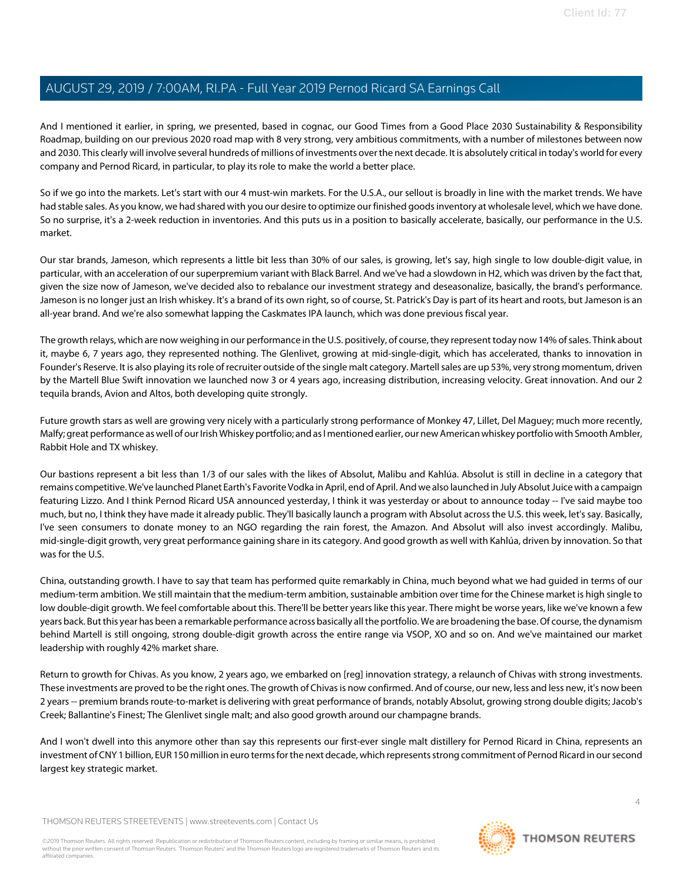And I mentioned it earlier, in spring, we presented, based in cognac, our Good Times from a Good Place 2030 Sustainability & Responsibility Roadmap, building on our previous 2020 road map with 8 very strong, very ambitious commitments, with a number of milestones between now and 2030. This clearly will involve several hundreds of millions of investments over the next decade. It is absolutely critical in today's world for every company and Pernod Ricard, in particular, to play its role to make the world a better place.

So if we go into the markets. Let's start with our 4 must-win markets. For the U.S.A., our sellout is broadly in line with the market trends. We have had stable sales. As you know, we had shared with you our desire to optimize our finished goods inventory at wholesale level, which we have done. So no surprise, it's a 2-week reduction in inventories. And this puts us in a position to basically accelerate, basically, our performance in the U.S. market.

Our star brands, Jameson, which represents a little bit less than 30% of our sales, is growing, let's say, high single to low double-digit value, in particular, with an acceleration of our superpremium variant with Black Barrel. And we've had a slowdown in H2, which was driven by the fact that, given the size now of Jameson, we've decided also to rebalance our investment strategy and deseasonalize, basically, the brand's performance. Jameson is no longer just an Irish whiskey. It's a brand of its own right, so of course, St. Patrick's Day is part of its heart and roots, but Jameson is an all-year brand. And we're also somewhat lapping the Caskmates IPA launch, which was done previous fiscal year.

The growth relays, which are now weighing in our performance in the U.S. positively, of course, they represent today now 14% of sales. Think about it, maybe 6, 7 years ago, they represented nothing. The Glenlivet, growing at mid-single-digit, which has accelerated, thanks to innovation in Founder's Reserve. It is also playing its role of recruiter outside of the single malt category. Martell sales are up 53%, very strong momentum, driven by the Martell Blue Swift innovation we launched now 3 or 4 years ago, increasing distribution, increasing velocity. Great innovation. And our 2 tequila brands, Avion and Altos, both developing quite strongly.

Future growth stars as well are growing very nicely with a particularly strong performance of Monkey 47, Lillet, Del Maguey; much more recently, Malfy; great performance as well of our Irish Whiskey portfolio; and as I mentioned earlier, our new American whiskey portfolio with Smooth Ambler, Rabbit Hole and TX whiskey.

Our bastions represent a bit less than 1/3 of our sales with the likes of Absolut, Malibu and Kahlúa. Absolut is still in decline in a category that remains competitive. We've launched Planet Earth's Favorite Vodka in April, end of April. And we also launched in July Absolut Juice with a campaign featuring Lizzo. And I think Pernod Ricard USA announced yesterday, I think it was yesterday or about to announce today -- I've said maybe too much, but no, I think they have made it already public. They'll basically launch a program with Absolut across the U.S. this week, let's say. Basically, I've seen consumers to donate money to an NGO regarding the rain forest, the Amazon. And Absolut will also invest accordingly. Malibu, mid-single-digit growth, very great performance gaining share in its category. And good growth as well with Kahlúa, driven by innovation. So that was for the U.S.

China, outstanding growth. I have to say that team has performed quite remarkably in China, much beyond what we had guided in terms of our medium-term ambition. We still maintain that the medium-term ambition, sustainable ambition over time for the Chinese market is high single to low double-digit growth. We feel comfortable about this. There'll be better years like this year. There might be worse years, like we've known a few years back. But this year has been a remarkable performance across basically all the portfolio. We are broadening the base. Of course, the dynamism behind Martell is still ongoing, strong double-digit growth across the entire range via VSOP, XO and so on. And we've maintained our market leadership with roughly 42% market share.

Return to growth for Chivas. As you know, 2 years ago, we embarked on [reg] innovation strategy, a relaunch of Chivas with strong investments. These investments are proved to be the right ones. The growth of Chivas is now confirmed. And of course, our new, less and less new, it's now been 2 years -- premium brands route-to-market is delivering with great performance of brands, notably Absolut, growing strong double digits; Jacob's Creek; Ballantine's Finest; The Glenlivet single malt; and also good growth around our champagne brands.

And I won't dwell into this anymore other than say this represents our first-ever single malt distillery for Pernod Ricard in China, represents an investment of CNY 1 billion, EUR 150 million in euro terms for the next decade, which represents strong commitment of Pernod Ricard in our second largest key strategic market.

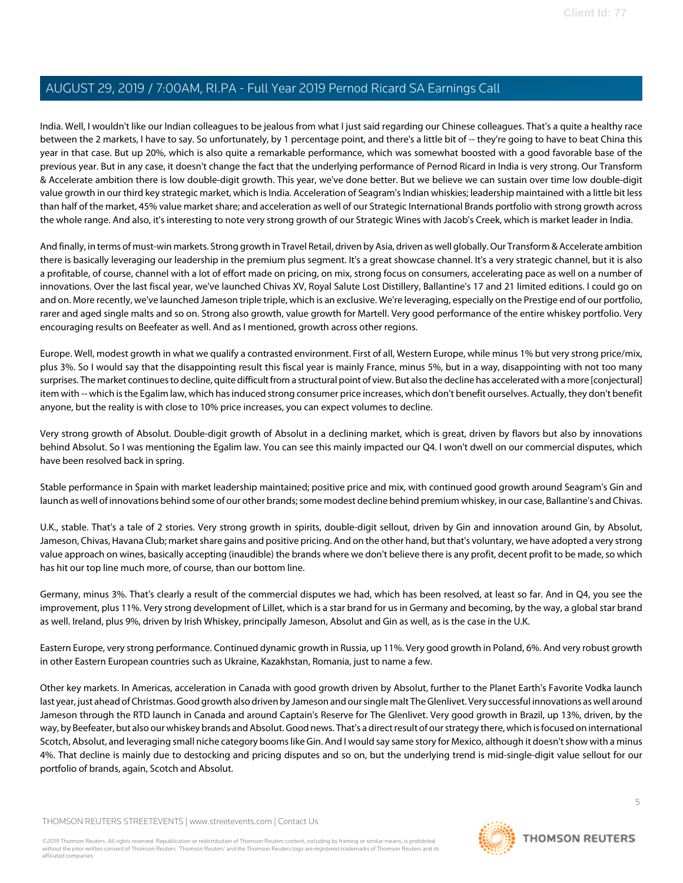India. Well, I wouldn't like our Indian colleagues to be jealous from what I just said regarding our Chinese colleagues. That's a quite a healthy race between the 2 markets, I have to say. So unfortunately, by 1 percentage point, and there's a little bit of -- they're going to have to beat China this year in that case. But up 20%, which is also quite a remarkable performance, which was somewhat boosted with a good favorable base of the previous year. But in any case, it doesn't change the fact that the underlying performance of Pernod Ricard in India is very strong. Our Transform & Accelerate ambition there is low double-digit growth. This year, we've done better. But we believe we can sustain over time low double-digit value growth in our third key strategic market, which is India. Acceleration of Seagram's Indian whiskies; leadership maintained with a little bit less than half of the market, 45% value market share; and acceleration as well of our Strategic International Brands portfolio with strong growth across the whole range. And also, it's interesting to note very strong growth of our Strategic Wines with Jacob's Creek, which is market leader in India.

And finally, in terms of must-win markets. Strong growth in Travel Retail, driven by Asia, driven as well globally. Our Transform & Accelerate ambition there is basically leveraging our leadership in the premium plus segment. It's a great showcase channel. It's a very strategic channel, but it is also a profitable, of course, channel with a lot of effort made on pricing, on mix, strong focus on consumers, accelerating pace as well on a number of innovations. Over the last fiscal year, we've launched Chivas XV, Royal Salute Lost Distillery, Ballantine's 17 and 21 limited editions. I could go on and on. More recently, we've launched Jameson triple triple, which is an exclusive. We're leveraging, especially on the Prestige end of our portfolio, rarer and aged single malts and so on. Strong also growth, value growth for Martell. Very good performance of the entire whiskey portfolio. Very encouraging results on Beefeater as well. And as I mentioned, growth across other regions.

Europe. Well, modest growth in what we qualify a contrasted environment. First of all, Western Europe, while minus 1% but very strong price/mix, plus 3%. So I would say that the disappointing result this fiscal year is mainly France, minus 5%, but in a way, disappointing with not too many surprises. The market continues to decline, quite difficult from a structural point of view. But also the decline has accelerated with a more [conjectural] item with -- which is the Egalim law, which has induced strong consumer price increases, which don't benefit ourselves. Actually, they don't benefit anyone, but the reality is with close to 10% price increases, you can expect volumes to decline.

Very strong growth of Absolut. Double-digit growth of Absolut in a declining market, which is great, driven by flavors but also by innovations behind Absolut. So I was mentioning the Egalim law. You can see this mainly impacted our Q4. I won't dwell on our commercial disputes, which have been resolved back in spring.

Stable performance in Spain with market leadership maintained; positive price and mix, with continued good growth around Seagram's Gin and launch as well of innovations behind some of our other brands; some modest decline behind premium whiskey, in our case, Ballantine's and Chivas.

U.K., stable. That's a tale of 2 stories. Very strong growth in spirits, double-digit sellout, driven by Gin and innovation around Gin, by Absolut, Jameson, Chivas, Havana Club; market share gains and positive pricing. And on the other hand, but that's voluntary, we have adopted a very strong value approach on wines, basically accepting (inaudible) the brands where we don't believe there is any profit, decent profit to be made, so which has hit our top line much more, of course, than our bottom line.

Germany, minus 3%. That's clearly a result of the commercial disputes we had, which has been resolved, at least so far. And in Q4, you see the improvement, plus 11%. Very strong development of Lillet, which is a star brand for us in Germany and becoming, by the way, a global star brand as well. Ireland, plus 9%, driven by Irish Whiskey, principally Jameson, Absolut and Gin as well, as is the case in the U.K.

Eastern Europe, very strong performance. Continued dynamic growth in Russia, up 11%. Very good growth in Poland, 6%. And very robust growth in other Eastern European countries such as Ukraine, Kazakhstan, Romania, just to name a few.

Other key markets. In Americas, acceleration in Canada with good growth driven by Absolut, further to the Planet Earth's Favorite Vodka launch last year, just ahead of Christmas. Good growth also driven by Jameson and our single malt The Glenlivet. Very successful innovations as well around Jameson through the RTD launch in Canada and around Captain's Reserve for The Glenlivet. Very good growth in Brazil, up 13%, driven, by the way, by Beefeater, but also our whiskey brands and Absolut. Good news. That's a direct result of our strategy there, which is focused on international Scotch, Absolut, and leveraging small niche category booms like Gin. And I would say same story for Mexico, although it doesn't show with a minus 4%. That decline is mainly due to destocking and pricing disputes and so on, but the underlying trend is mid-single-digit value sellout for our portfolio of brands, again, Scotch and Absolut.

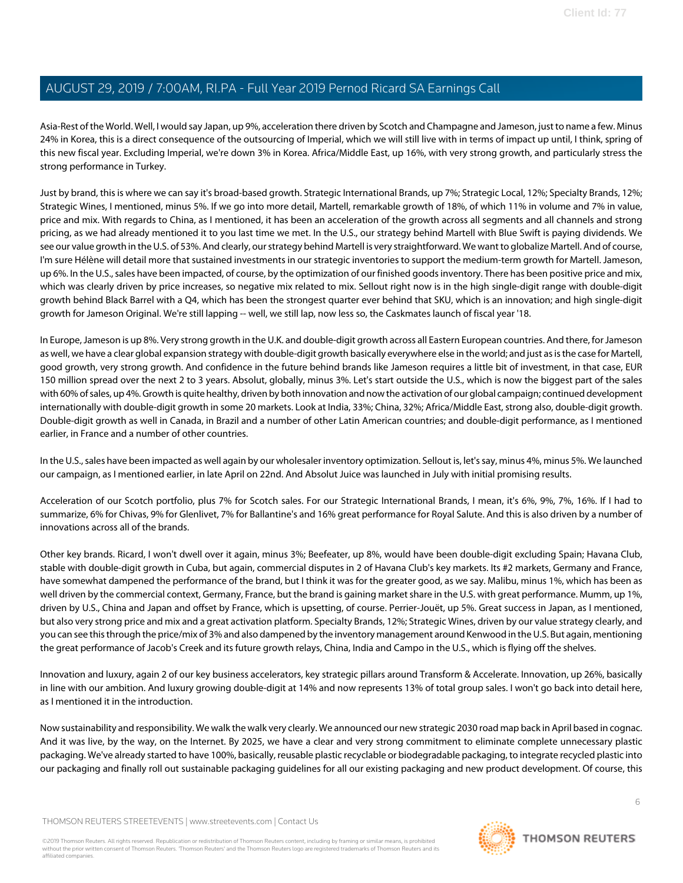Asia-Rest of the World. Well, I would say Japan, up 9%, acceleration there driven by Scotch and Champagne and Jameson, just to name a few. Minus 24% in Korea, this is a direct consequence of the outsourcing of Imperial, which we will still live with in terms of impact up until, I think, spring of this new fiscal year. Excluding Imperial, we're down 3% in Korea. Africa/Middle East, up 16%, with very strong growth, and particularly stress the strong performance in Turkey.

Just by brand, this is where we can say it's broad-based growth. Strategic International Brands, up 7%; Strategic Local, 12%; Specialty Brands, 12%; Strategic Wines, I mentioned, minus 5%. If we go into more detail, Martell, remarkable growth of 18%, of which 11% in volume and 7% in value, price and mix. With regards to China, as I mentioned, it has been an acceleration of the growth across all segments and all channels and strong pricing, as we had already mentioned it to you last time we met. In the U.S., our strategy behind Martell with Blue Swift is paying dividends. We see our value growth in the U.S. of 53%. And clearly, our strategy behind Martell is very straightforward. We want to globalize Martell. And of course, I'm sure Hélène will detail more that sustained investments in our strategic inventories to support the medium-term growth for Martell. Jameson, up 6%. In the U.S., sales have been impacted, of course, by the optimization of our finished goods inventory. There has been positive price and mix, which was clearly driven by price increases, so negative mix related to mix. Sellout right now is in the high single-digit range with double-digit growth behind Black Barrel with a Q4, which has been the strongest quarter ever behind that SKU, which is an innovation; and high single-digit growth for Jameson Original. We're still lapping -- well, we still lap, now less so, the Caskmates launch of fiscal year '18.

In Europe, Jameson is up 8%. Very strong growth in the U.K. and double-digit growth across all Eastern European countries. And there, for Jameson as well, we have a clear global expansion strategy with double-digit growth basically everywhere else in the world; and just as is the case for Martell, good growth, very strong growth. And confidence in the future behind brands like Jameson requires a little bit of investment, in that case, EUR 150 million spread over the next 2 to 3 years. Absolut, globally, minus 3%. Let's start outside the U.S., which is now the biggest part of the sales with 60% of sales, up 4%. Growth is quite healthy, driven by both innovation and now the activation of our global campaign; continued development internationally with double-digit growth in some 20 markets. Look at India, 33%; China, 32%; Africa/Middle East, strong also, double-digit growth. Double-digit growth as well in Canada, in Brazil and a number of other Latin American countries; and double-digit performance, as I mentioned earlier, in France and a number of other countries.

In the U.S., sales have been impacted as well again by our wholesaler inventory optimization. Sellout is, let's say, minus 4%, minus 5%. We launched our campaign, as I mentioned earlier, in late April on 22nd. And Absolut Juice was launched in July with initial promising results.

Acceleration of our Scotch portfolio, plus 7% for Scotch sales. For our Strategic International Brands, I mean, it's 6%, 9%, 7%, 16%. If I had to summarize, 6% for Chivas, 9% for Glenlivet, 7% for Ballantine's and 16% great performance for Royal Salute. And this is also driven by a number of innovations across all of the brands.

Other key brands. Ricard, I won't dwell over it again, minus 3%; Beefeater, up 8%, would have been double-digit excluding Spain; Havana Club, stable with double-digit growth in Cuba, but again, commercial disputes in 2 of Havana Club's key markets. Its #2 markets, Germany and France, have somewhat dampened the performance of the brand, but I think it was for the greater good, as we say. Malibu, minus 1%, which has been as well driven by the commercial context, Germany, France, but the brand is gaining market share in the U.S. with great performance. Mumm, up 1%, driven by U.S., China and Japan and offset by France, which is upsetting, of course. Perrier-Jouët, up 5%. Great success in Japan, as I mentioned, but also very strong price and mix and a great activation platform. Specialty Brands, 12%; Strategic Wines, driven by our value strategy clearly, and you can see this through the price/mix of 3% and also dampened by the inventory management around Kenwood in the U.S. But again, mentioning the great performance of Jacob's Creek and its future growth relays, China, India and Campo in the U.S., which is flying off the shelves.

Innovation and luxury, again 2 of our key business accelerators, key strategic pillars around Transform & Accelerate. Innovation, up 26%, basically in line with our ambition. And luxury growing double-digit at 14% and now represents 13% of total group sales. I won't go back into detail here, as I mentioned it in the introduction.

Now sustainability and responsibility. We walk the walk very clearly. We announced our new strategic 2030 road map back in April based in cognac. And it was live, by the way, on the Internet. By 2025, we have a clear and very strong commitment to eliminate complete unnecessary plastic packaging. We've already started to have 100%, basically, reusable plastic recyclable or biodegradable packaging, to integrate recycled plastic into our packaging and finally roll out sustainable packaging guidelines for all our existing packaging and new product development. Of course, this

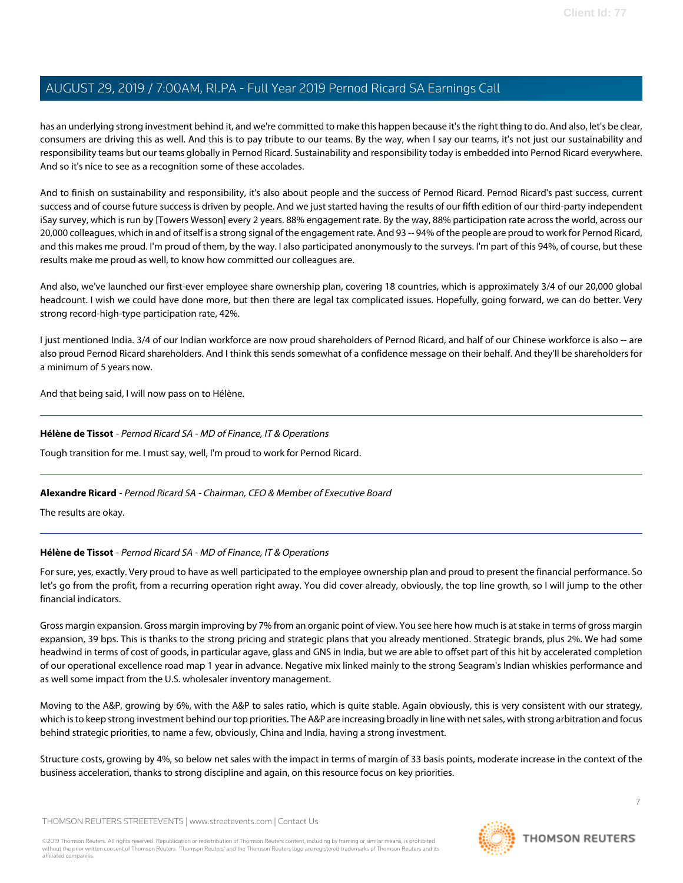has an underlying strong investment behind it, and we're committed to make this happen because it's the right thing to do. And also, let's be clear, consumers are driving this as well. And this is to pay tribute to our teams. By the way, when I say our teams, it's not just our sustainability and responsibility teams but our teams globally in Pernod Ricard. Sustainability and responsibility today is embedded into Pernod Ricard everywhere. And so it's nice to see as a recognition some of these accolades.

And to finish on sustainability and responsibility, it's also about people and the success of Pernod Ricard. Pernod Ricard's past success, current success and of course future success is driven by people. And we just started having the results of our fifth edition of our third-party independent iSay survey, which is run by [Towers Wesson] every 2 years. 88% engagement rate. By the way, 88% participation rate across the world, across our 20,000 colleagues, which in and of itself is a strong signal of the engagement rate. And 93 -- 94% of the people are proud to work for Pernod Ricard, and this makes me proud. I'm proud of them, by the way. I also participated anonymously to the surveys. I'm part of this 94%, of course, but these results make me proud as well, to know how committed our colleagues are.

And also, we've launched our first-ever employee share ownership plan, covering 18 countries, which is approximately 3/4 of our 20,000 global headcount. I wish we could have done more, but then there are legal tax complicated issues. Hopefully, going forward, we can do better. Very strong record-high-type participation rate, 42%.

I just mentioned India. 3/4 of our Indian workforce are now proud shareholders of Pernod Ricard, and half of our Chinese workforce is also -- are also proud Pernod Ricard shareholders. And I think this sends somewhat of a confidence message on their behalf. And they'll be shareholders for a minimum of 5 years now.

<span id="page-6-0"></span>And that being said, I will now pass on to Hélène.

## **Hélène de Tissot** - Pernod Ricard SA - MD of Finance, IT & Operations

Tough transition for me. I must say, well, I'm proud to work for Pernod Ricard.

## **Alexandre Ricard** - Pernod Ricard SA - Chairman, CEO & Member of Executive Board

The results are okay.

## **Hélène de Tissot** - Pernod Ricard SA - MD of Finance, IT & Operations

For sure, yes, exactly. Very proud to have as well participated to the employee ownership plan and proud to present the financial performance. So let's go from the profit, from a recurring operation right away. You did cover already, obviously, the top line growth, so I will jump to the other financial indicators.

Gross margin expansion. Gross margin improving by 7% from an organic point of view. You see here how much is at stake in terms of gross margin expansion, 39 bps. This is thanks to the strong pricing and strategic plans that you already mentioned. Strategic brands, plus 2%. We had some headwind in terms of cost of goods, in particular agave, glass and GNS in India, but we are able to offset part of this hit by accelerated completion of our operational excellence road map 1 year in advance. Negative mix linked mainly to the strong Seagram's Indian whiskies performance and as well some impact from the U.S. wholesaler inventory management.

Moving to the A&P, growing by 6%, with the A&P to sales ratio, which is quite stable. Again obviously, this is very consistent with our strategy, which is to keep strong investment behind our top priorities. The A&P are increasing broadly in line with net sales, with strong arbitration and focus behind strategic priorities, to name a few, obviously, China and India, having a strong investment.

Structure costs, growing by 4%, so below net sales with the impact in terms of margin of 33 basis points, moderate increase in the context of the business acceleration, thanks to strong discipline and again, on this resource focus on key priorities.

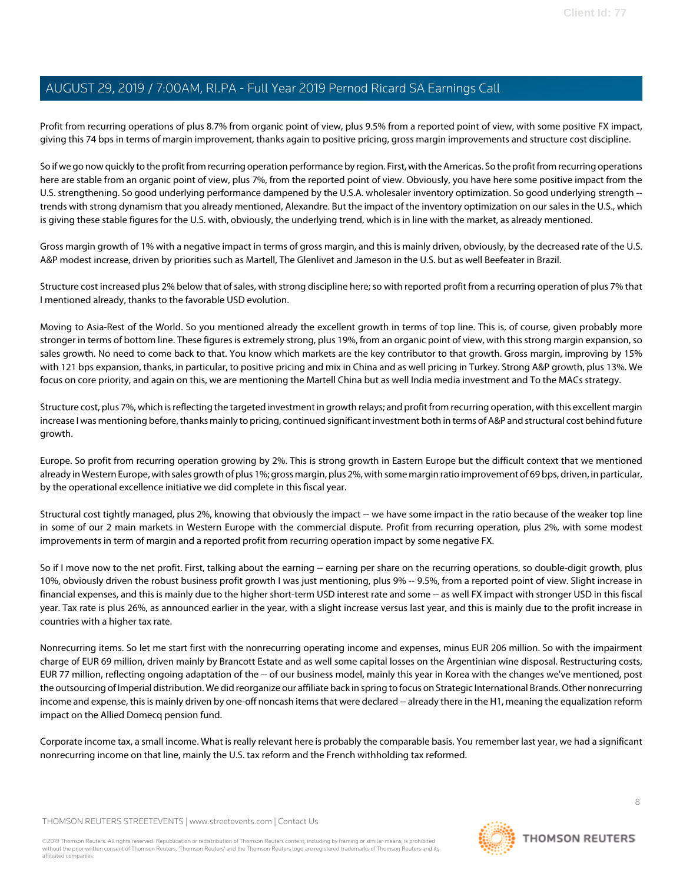Profit from recurring operations of plus 8.7% from organic point of view, plus 9.5% from a reported point of view, with some positive FX impact, giving this 74 bps in terms of margin improvement, thanks again to positive pricing, gross margin improvements and structure cost discipline.

So if we go now quickly to the profit from recurring operation performance by region. First, with the Americas. So the profit from recurring operations here are stable from an organic point of view, plus 7%, from the reported point of view. Obviously, you have here some positive impact from the U.S. strengthening. So good underlying performance dampened by the U.S.A. wholesaler inventory optimization. So good underlying strength - trends with strong dynamism that you already mentioned, Alexandre. But the impact of the inventory optimization on our sales in the U.S., which is giving these stable figures for the U.S. with, obviously, the underlying trend, which is in line with the market, as already mentioned.

Gross margin growth of 1% with a negative impact in terms of gross margin, and this is mainly driven, obviously, by the decreased rate of the U.S. A&P modest increase, driven by priorities such as Martell, The Glenlivet and Jameson in the U.S. but as well Beefeater in Brazil.

Structure cost increased plus 2% below that of sales, with strong discipline here; so with reported profit from a recurring operation of plus 7% that I mentioned already, thanks to the favorable USD evolution.

Moving to Asia-Rest of the World. So you mentioned already the excellent growth in terms of top line. This is, of course, given probably more stronger in terms of bottom line. These figures is extremely strong, plus 19%, from an organic point of view, with this strong margin expansion, so sales growth. No need to come back to that. You know which markets are the key contributor to that growth. Gross margin, improving by 15% with 121 bps expansion, thanks, in particular, to positive pricing and mix in China and as well pricing in Turkey. Strong A&P growth, plus 13%. We focus on core priority, and again on this, we are mentioning the Martell China but as well India media investment and To the MACs strategy.

Structure cost, plus 7%, which is reflecting the targeted investment in growth relays; and profit from recurring operation, with this excellent margin increase I was mentioning before, thanks mainly to pricing, continued significant investment both in terms of A&P and structural cost behind future growth.

Europe. So profit from recurring operation growing by 2%. This is strong growth in Eastern Europe but the difficult context that we mentioned already in Western Europe, with sales growth of plus 1%; gross margin, plus 2%, with some margin ratio improvement of 69 bps, driven, in particular, by the operational excellence initiative we did complete in this fiscal year.

Structural cost tightly managed, plus 2%, knowing that obviously the impact -- we have some impact in the ratio because of the weaker top line in some of our 2 main markets in Western Europe with the commercial dispute. Profit from recurring operation, plus 2%, with some modest improvements in term of margin and a reported profit from recurring operation impact by some negative FX.

So if I move now to the net profit. First, talking about the earning -- earning per share on the recurring operations, so double-digit growth, plus 10%, obviously driven the robust business profit growth I was just mentioning, plus 9% -- 9.5%, from a reported point of view. Slight increase in financial expenses, and this is mainly due to the higher short-term USD interest rate and some -- as well FX impact with stronger USD in this fiscal year. Tax rate is plus 26%, as announced earlier in the year, with a slight increase versus last year, and this is mainly due to the profit increase in countries with a higher tax rate.

Nonrecurring items. So let me start first with the nonrecurring operating income and expenses, minus EUR 206 million. So with the impairment charge of EUR 69 million, driven mainly by Brancott Estate and as well some capital losses on the Argentinian wine disposal. Restructuring costs, EUR 77 million, reflecting ongoing adaptation of the -- of our business model, mainly this year in Korea with the changes we've mentioned, post the outsourcing of Imperial distribution. We did reorganize our affiliate back in spring to focus on Strategic International Brands. Other nonrecurring income and expense, this is mainly driven by one-off noncash items that were declared -- already there in the H1, meaning the equalization reform impact on the Allied Domecq pension fund.

Corporate income tax, a small income. What is really relevant here is probably the comparable basis. You remember last year, we had a significant nonrecurring income on that line, mainly the U.S. tax reform and the French withholding tax reformed.

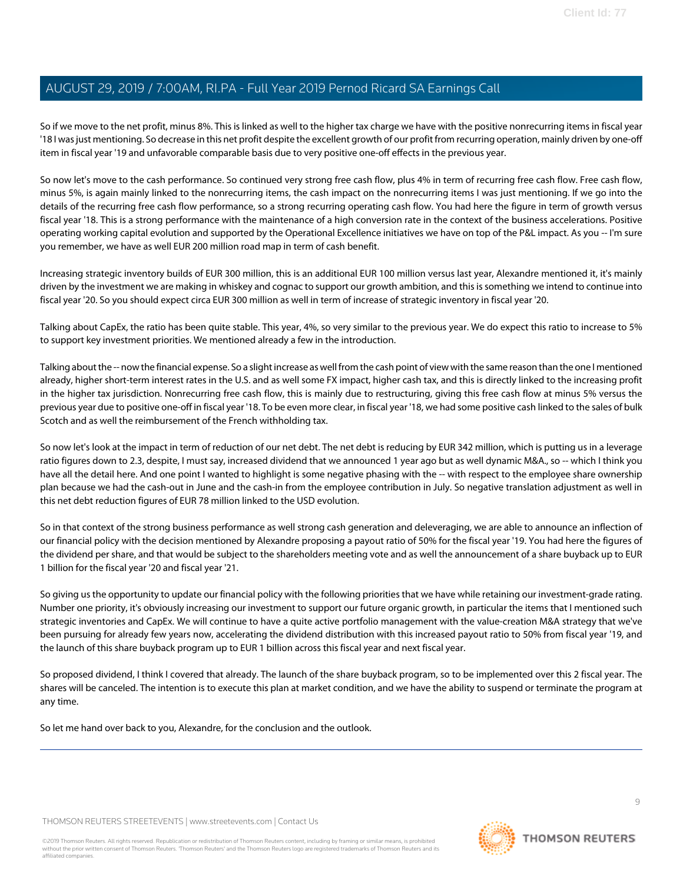So if we move to the net profit, minus 8%. This is linked as well to the higher tax charge we have with the positive nonrecurring items in fiscal year '18 I was just mentioning. So decrease in this net profit despite the excellent growth of our profit from recurring operation, mainly driven by one-off item in fiscal year '19 and unfavorable comparable basis due to very positive one-off effects in the previous year.

So now let's move to the cash performance. So continued very strong free cash flow, plus 4% in term of recurring free cash flow. Free cash flow, minus 5%, is again mainly linked to the nonrecurring items, the cash impact on the nonrecurring items I was just mentioning. If we go into the details of the recurring free cash flow performance, so a strong recurring operating cash flow. You had here the figure in term of growth versus fiscal year '18. This is a strong performance with the maintenance of a high conversion rate in the context of the business accelerations. Positive operating working capital evolution and supported by the Operational Excellence initiatives we have on top of the P&L impact. As you -- I'm sure you remember, we have as well EUR 200 million road map in term of cash benefit.

Increasing strategic inventory builds of EUR 300 million, this is an additional EUR 100 million versus last year, Alexandre mentioned it, it's mainly driven by the investment we are making in whiskey and cognac to support our growth ambition, and this is something we intend to continue into fiscal year '20. So you should expect circa EUR 300 million as well in term of increase of strategic inventory in fiscal year '20.

Talking about CapEx, the ratio has been quite stable. This year, 4%, so very similar to the previous year. We do expect this ratio to increase to 5% to support key investment priorities. We mentioned already a few in the introduction.

Talking about the -- now the financial expense. So a slight increase as well from the cash point of view with the same reason than the one I mentioned already, higher short-term interest rates in the U.S. and as well some FX impact, higher cash tax, and this is directly linked to the increasing profit in the higher tax jurisdiction. Nonrecurring free cash flow, this is mainly due to restructuring, giving this free cash flow at minus 5% versus the previous year due to positive one-off in fiscal year '18. To be even more clear, in fiscal year '18, we had some positive cash linked to the sales of bulk Scotch and as well the reimbursement of the French withholding tax.

So now let's look at the impact in term of reduction of our net debt. The net debt is reducing by EUR 342 million, which is putting us in a leverage ratio figures down to 2.3, despite, I must say, increased dividend that we announced 1 year ago but as well dynamic M&A., so -- which I think you have all the detail here. And one point I wanted to highlight is some negative phasing with the -- with respect to the employee share ownership plan because we had the cash-out in June and the cash-in from the employee contribution in July. So negative translation adjustment as well in this net debt reduction figures of EUR 78 million linked to the USD evolution.

So in that context of the strong business performance as well strong cash generation and deleveraging, we are able to announce an inflection of our financial policy with the decision mentioned by Alexandre proposing a payout ratio of 50% for the fiscal year '19. You had here the figures of the dividend per share, and that would be subject to the shareholders meeting vote and as well the announcement of a share buyback up to EUR 1 billion for the fiscal year '20 and fiscal year '21.

So giving us the opportunity to update our financial policy with the following priorities that we have while retaining our investment-grade rating. Number one priority, it's obviously increasing our investment to support our future organic growth, in particular the items that I mentioned such strategic inventories and CapEx. We will continue to have a quite active portfolio management with the value-creation M&A strategy that we've been pursuing for already few years now, accelerating the dividend distribution with this increased payout ratio to 50% from fiscal year '19, and the launch of this share buyback program up to EUR 1 billion across this fiscal year and next fiscal year.

So proposed dividend, I think I covered that already. The launch of the share buyback program, so to be implemented over this 2 fiscal year. The shares will be canceled. The intention is to execute this plan at market condition, and we have the ability to suspend or terminate the program at any time.

So let me hand over back to you, Alexandre, for the conclusion and the outlook.

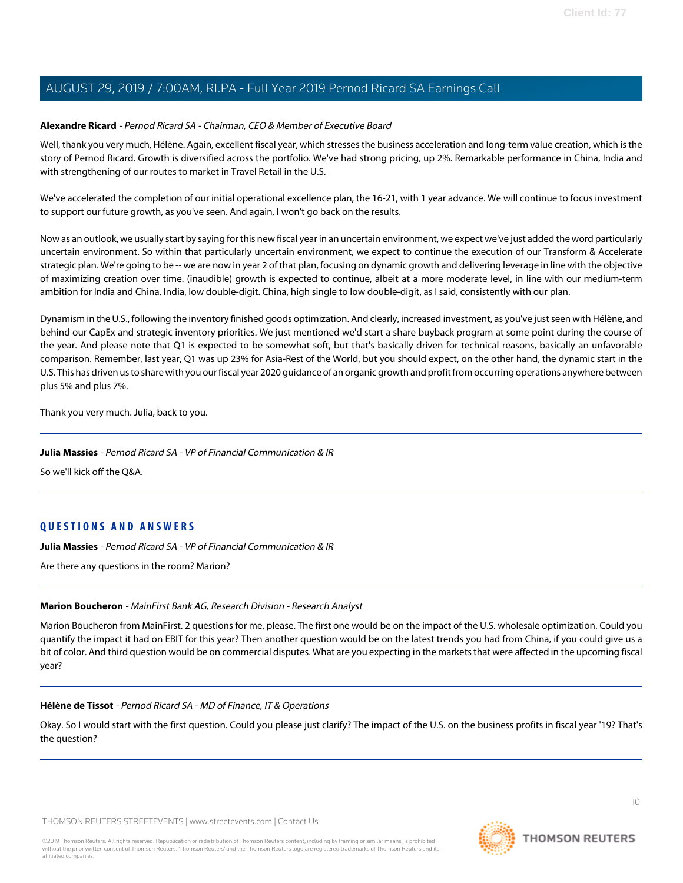#### **Alexandre Ricard** - Pernod Ricard SA - Chairman, CEO & Member of Executive Board

Well, thank you very much, Hélène. Again, excellent fiscal year, which stresses the business acceleration and long-term value creation, which is the story of Pernod Ricard. Growth is diversified across the portfolio. We've had strong pricing, up 2%. Remarkable performance in China, India and with strengthening of our routes to market in Travel Retail in the U.S.

We've accelerated the completion of our initial operational excellence plan, the 16-21, with 1 year advance. We will continue to focus investment to support our future growth, as you've seen. And again, I won't go back on the results.

Now as an outlook, we usually start by saying for this new fiscal year in an uncertain environment, we expect we've just added the word particularly uncertain environment. So within that particularly uncertain environment, we expect to continue the execution of our Transform & Accelerate strategic plan. We're going to be -- we are now in year 2 of that plan, focusing on dynamic growth and delivering leverage in line with the objective of maximizing creation over time. (inaudible) growth is expected to continue, albeit at a more moderate level, in line with our medium-term ambition for India and China. India, low double-digit. China, high single to low double-digit, as I said, consistently with our plan.

Dynamism in the U.S., following the inventory finished goods optimization. And clearly, increased investment, as you've just seen with Hélène, and behind our CapEx and strategic inventory priorities. We just mentioned we'd start a share buyback program at some point during the course of the year. And please note that Q1 is expected to be somewhat soft, but that's basically driven for technical reasons, basically an unfavorable comparison. Remember, last year, Q1 was up 23% for Asia-Rest of the World, but you should expect, on the other hand, the dynamic start in the U.S. This has driven us to share with you our fiscal year 2020 guidance of an organic growth and profit from occurring operations anywhere between plus 5% and plus 7%.

Thank you very much. Julia, back to you.

#### **Julia Massies** - Pernod Ricard SA - VP of Financial Communication & IR

So we'll kick off the Q&A.

## **QUESTIONS AND ANSWERS**

<span id="page-9-0"></span>**Julia Massies** - Pernod Ricard SA - VP of Financial Communication & IR

Are there any questions in the room? Marion?

#### **Marion Boucheron** - MainFirst Bank AG, Research Division - Research Analyst

Marion Boucheron from MainFirst. 2 questions for me, please. The first one would be on the impact of the U.S. wholesale optimization. Could you quantify the impact it had on EBIT for this year? Then another question would be on the latest trends you had from China, if you could give us a bit of color. And third question would be on commercial disputes. What are you expecting in the markets that were affected in the upcoming fiscal year?

#### **Hélène de Tissot** - Pernod Ricard SA - MD of Finance, IT & Operations

Okay. So I would start with the first question. Could you please just clarify? The impact of the U.S. on the business profits in fiscal year '19? That's the question?

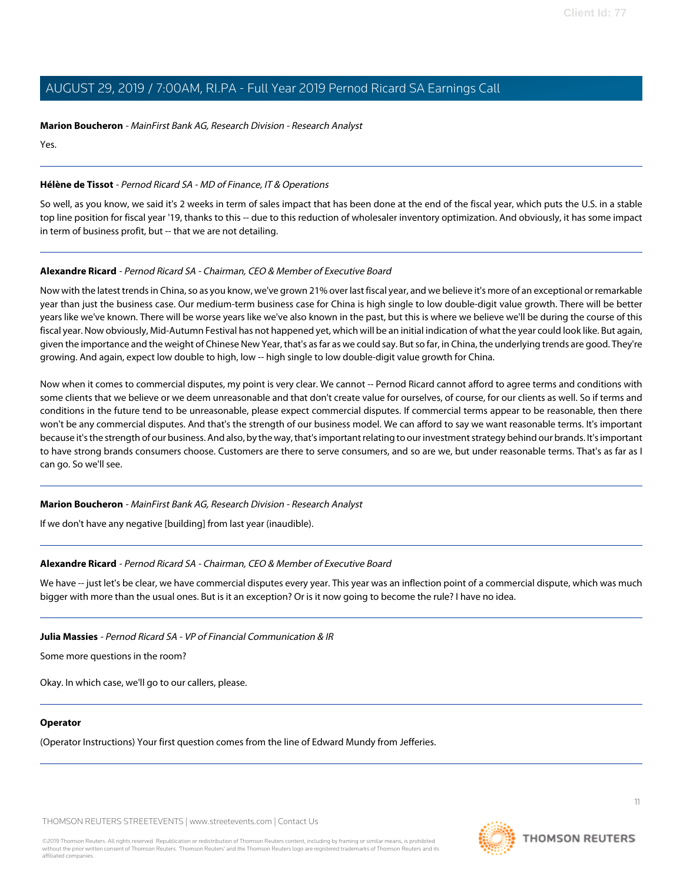#### **Marion Boucheron** - MainFirst Bank AG, Research Division - Research Analyst

Yes.

#### **Hélène de Tissot** - Pernod Ricard SA - MD of Finance, IT & Operations

So well, as you know, we said it's 2 weeks in term of sales impact that has been done at the end of the fiscal year, which puts the U.S. in a stable top line position for fiscal year '19, thanks to this -- due to this reduction of wholesaler inventory optimization. And obviously, it has some impact in term of business profit, but -- that we are not detailing.

## **Alexandre Ricard** - Pernod Ricard SA - Chairman, CEO & Member of Executive Board

Now with the latest trends in China, so as you know, we've grown 21% over last fiscal year, and we believe it's more of an exceptional or remarkable year than just the business case. Our medium-term business case for China is high single to low double-digit value growth. There will be better years like we've known. There will be worse years like we've also known in the past, but this is where we believe we'll be during the course of this fiscal year. Now obviously, Mid-Autumn Festival has not happened yet, which will be an initial indication of what the year could look like. But again, given the importance and the weight of Chinese New Year, that's as far as we could say. But so far, in China, the underlying trends are good. They're growing. And again, expect low double to high, low -- high single to low double-digit value growth for China.

Now when it comes to commercial disputes, my point is very clear. We cannot -- Pernod Ricard cannot afford to agree terms and conditions with some clients that we believe or we deem unreasonable and that don't create value for ourselves, of course, for our clients as well. So if terms and conditions in the future tend to be unreasonable, please expect commercial disputes. If commercial terms appear to be reasonable, then there won't be any commercial disputes. And that's the strength of our business model. We can afford to say we want reasonable terms. It's important because it's the strength of our business. And also, by the way, that's important relating to our investment strategy behind our brands. It's important to have strong brands consumers choose. Customers are there to serve consumers, and so are we, but under reasonable terms. That's as far as I can go. So we'll see.

#### **Marion Boucheron** - MainFirst Bank AG, Research Division - Research Analyst

If we don't have any negative [building] from last year (inaudible).

#### **Alexandre Ricard** - Pernod Ricard SA - Chairman, CEO & Member of Executive Board

We have -- just let's be clear, we have commercial disputes every year. This year was an inflection point of a commercial dispute, which was much bigger with more than the usual ones. But is it an exception? Or is it now going to become the rule? I have no idea.

#### **Julia Massies** - Pernod Ricard SA - VP of Financial Communication & IR

Some more questions in the room?

Okay. In which case, we'll go to our callers, please.

#### **Operator**

(Operator Instructions) Your first question comes from the line of Edward Mundy from Jefferies.

THOMSON REUTERS STREETEVENTS | [www.streetevents.com](http://www.streetevents.com) | [Contact Us](http://www010.streetevents.com/contact.asp)

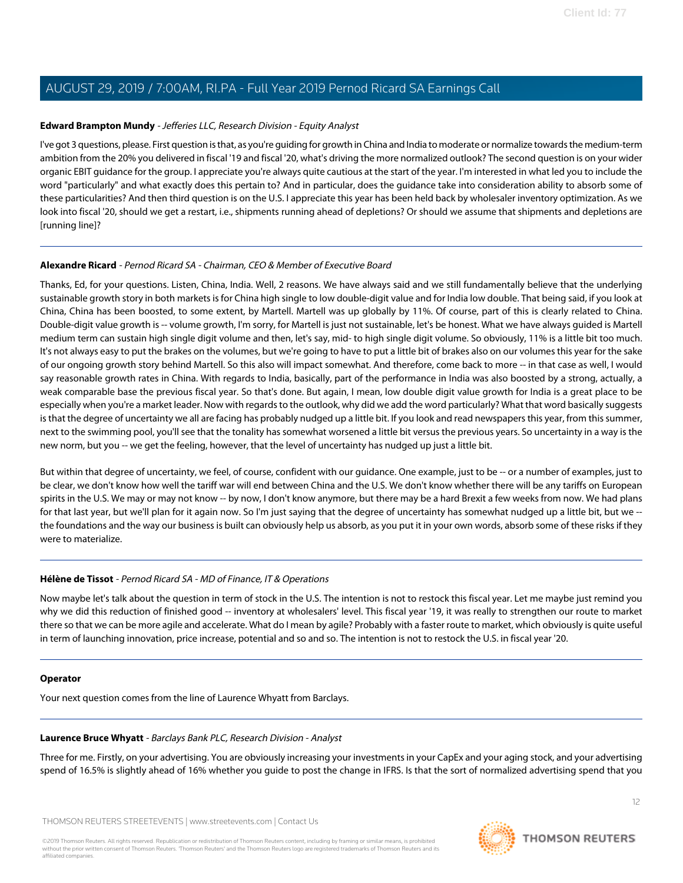## <span id="page-11-0"></span>**Edward Brampton Mundy** - Jefferies LLC, Research Division - Equity Analyst

I've got 3 questions, please. First question is that, as you're guiding for growth in China and India to moderate or normalize towards the medium-term ambition from the 20% you delivered in fiscal '19 and fiscal '20, what's driving the more normalized outlook? The second question is on your wider organic EBIT guidance for the group. I appreciate you're always quite cautious at the start of the year. I'm interested in what led you to include the word "particularly" and what exactly does this pertain to? And in particular, does the guidance take into consideration ability to absorb some of these particularities? And then third question is on the U.S. I appreciate this year has been held back by wholesaler inventory optimization. As we look into fiscal '20, should we get a restart, i.e., shipments running ahead of depletions? Or should we assume that shipments and depletions are [running line]?

#### **Alexandre Ricard** - Pernod Ricard SA - Chairman, CEO & Member of Executive Board

Thanks, Ed, for your questions. Listen, China, India. Well, 2 reasons. We have always said and we still fundamentally believe that the underlying sustainable growth story in both markets is for China high single to low double-digit value and for India low double. That being said, if you look at China, China has been boosted, to some extent, by Martell. Martell was up globally by 11%. Of course, part of this is clearly related to China. Double-digit value growth is -- volume growth, I'm sorry, for Martell is just not sustainable, let's be honest. What we have always guided is Martell medium term can sustain high single digit volume and then, let's say, mid- to high single digit volume. So obviously, 11% is a little bit too much. It's not always easy to put the brakes on the volumes, but we're going to have to put a little bit of brakes also on our volumes this year for the sake of our ongoing growth story behind Martell. So this also will impact somewhat. And therefore, come back to more -- in that case as well, I would say reasonable growth rates in China. With regards to India, basically, part of the performance in India was also boosted by a strong, actually, a weak comparable base the previous fiscal year. So that's done. But again, I mean, low double digit value growth for India is a great place to be especially when you're a market leader. Now with regards to the outlook, why did we add the word particularly? What that word basically suggests is that the degree of uncertainty we all are facing has probably nudged up a little bit. If you look and read newspapers this year, from this summer, next to the swimming pool, you'll see that the tonality has somewhat worsened a little bit versus the previous years. So uncertainty in a way is the new norm, but you -- we get the feeling, however, that the level of uncertainty has nudged up just a little bit.

But within that degree of uncertainty, we feel, of course, confident with our guidance. One example, just to be -- or a number of examples, just to be clear, we don't know how well the tariff war will end between China and the U.S. We don't know whether there will be any tariffs on European spirits in the U.S. We may or may not know -- by now, I don't know anymore, but there may be a hard Brexit a few weeks from now. We had plans for that last year, but we'll plan for it again now. So I'm just saying that the degree of uncertainty has somewhat nudged up a little bit, but we - the foundations and the way our business is built can obviously help us absorb, as you put it in your own words, absorb some of these risks if they were to materialize.

#### **Hélène de Tissot** - Pernod Ricard SA - MD of Finance, IT & Operations

Now maybe let's talk about the question in term of stock in the U.S. The intention is not to restock this fiscal year. Let me maybe just remind you why we did this reduction of finished good -- inventory at wholesalers' level. This fiscal year '19, it was really to strengthen our route to market there so that we can be more agile and accelerate. What do I mean by agile? Probably with a faster route to market, which obviously is quite useful in term of launching innovation, price increase, potential and so and so. The intention is not to restock the U.S. in fiscal year '20.

#### <span id="page-11-1"></span>**Operator**

Your next question comes from the line of Laurence Whyatt from Barclays.

#### **Laurence Bruce Whyatt** - Barclays Bank PLC, Research Division - Analyst

Three for me. Firstly, on your advertising. You are obviously increasing your investments in your CapEx and your aging stock, and your advertising spend of 16.5% is slightly ahead of 16% whether you guide to post the change in IFRS. Is that the sort of normalized advertising spend that you

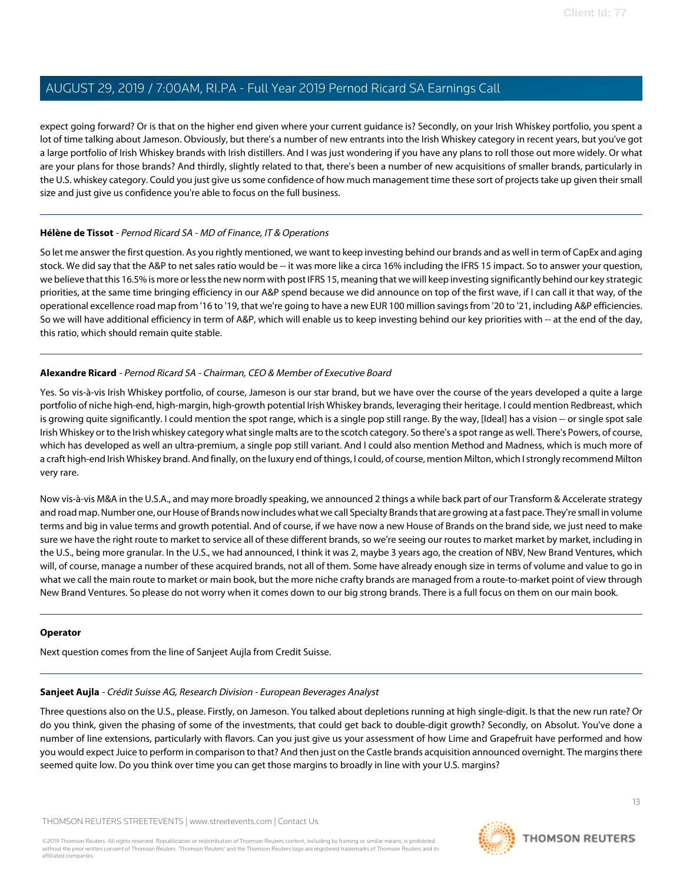expect going forward? Or is that on the higher end given where your current guidance is? Secondly, on your Irish Whiskey portfolio, you spent a lot of time talking about Jameson. Obviously, but there's a number of new entrants into the Irish Whiskey category in recent years, but you've got a large portfolio of Irish Whiskey brands with Irish distillers. And I was just wondering if you have any plans to roll those out more widely. Or what are your plans for those brands? And thirdly, slightly related to that, there's been a number of new acquisitions of smaller brands, particularly in the U.S. whiskey category. Could you just give us some confidence of how much management time these sort of projects take up given their small size and just give us confidence you're able to focus on the full business.

## **Hélène de Tissot** - Pernod Ricard SA - MD of Finance, IT & Operations

So let me answer the first question. As you rightly mentioned, we want to keep investing behind our brands and as well in term of CapEx and aging stock. We did say that the A&P to net sales ratio would be -- it was more like a circa 16% including the IFRS 15 impact. So to answer your question, we believe that this 16.5% is more or less the new norm with post IFRS 15, meaning that we will keep investing significantly behind our key strategic priorities, at the same time bringing efficiency in our A&P spend because we did announce on top of the first wave, if I can call it that way, of the operational excellence road map from '16 to '19, that we're going to have a new EUR 100 million savings from '20 to '21, including A&P efficiencies. So we will have additional efficiency in term of A&P, which will enable us to keep investing behind our key priorities with -- at the end of the day, this ratio, which should remain quite stable.

#### **Alexandre Ricard** - Pernod Ricard SA - Chairman, CEO & Member of Executive Board

Yes. So vis-à-vis Irish Whiskey portfolio, of course, Jameson is our star brand, but we have over the course of the years developed a quite a large portfolio of niche high-end, high-margin, high-growth potential Irish Whiskey brands, leveraging their heritage. I could mention Redbreast, which is growing quite significantly. I could mention the spot range, which is a single pop still range. By the way, [Ideal] has a vision -- or single spot sale Irish Whiskey or to the Irish whiskey category what single malts are to the scotch category. So there's a spot range as well. There's Powers, of course, which has developed as well an ultra-premium, a single pop still variant. And I could also mention Method and Madness, which is much more of a craft high-end Irish Whiskey brand. And finally, on the luxury end of things, I could, of course, mention Milton, which I strongly recommend Milton very rare.

Now vis-à-vis M&A in the U.S.A., and may more broadly speaking, we announced 2 things a while back part of our Transform & Accelerate strategy and road map. Number one, our House of Brands now includes what we call Specialty Brands that are growing at a fast pace. They're small in volume terms and big in value terms and growth potential. And of course, if we have now a new House of Brands on the brand side, we just need to make sure we have the right route to market to service all of these different brands, so we're seeing our routes to market market by market, including in the U.S., being more granular. In the U.S., we had announced, I think it was 2, maybe 3 years ago, the creation of NBV, New Brand Ventures, which will, of course, manage a number of these acquired brands, not all of them. Some have already enough size in terms of volume and value to go in what we call the main route to market or main book, but the more niche crafty brands are managed from a route-to-market point of view through New Brand Ventures. So please do not worry when it comes down to our big strong brands. There is a full focus on them on our main book.

#### <span id="page-12-0"></span>**Operator**

Next question comes from the line of Sanjeet Aujla from Credit Suisse.

#### **Sanjeet Aujla** - Crédit Suisse AG, Research Division - European Beverages Analyst

Three questions also on the U.S., please. Firstly, on Jameson. You talked about depletions running at high single-digit. Is that the new run rate? Or do you think, given the phasing of some of the investments, that could get back to double-digit growth? Secondly, on Absolut. You've done a number of line extensions, particularly with flavors. Can you just give us your assessment of how Lime and Grapefruit have performed and how you would expect Juice to perform in comparison to that? And then just on the Castle brands acquisition announced overnight. The margins there seemed quite low. Do you think over time you can get those margins to broadly in line with your U.S. margins?

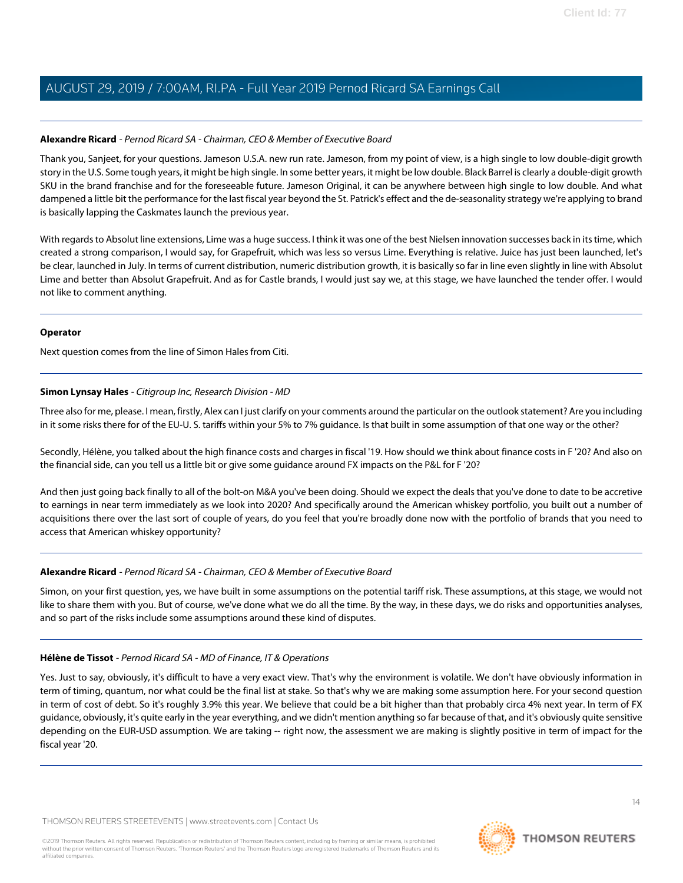#### **Alexandre Ricard** - Pernod Ricard SA - Chairman, CEO & Member of Executive Board

Thank you, Sanjeet, for your questions. Jameson U.S.A. new run rate. Jameson, from my point of view, is a high single to low double-digit growth story in the U.S. Some tough years, it might be high single. In some better years, it might be low double. Black Barrel is clearly a double-digit growth SKU in the brand franchise and for the foreseeable future. Jameson Original, it can be anywhere between high single to low double. And what dampened a little bit the performance for the last fiscal year beyond the St. Patrick's effect and the de-seasonality strategy we're applying to brand is basically lapping the Caskmates launch the previous year.

With regards to Absolut line extensions, Lime was a huge success. I think it was one of the best Nielsen innovation successes back in its time, which created a strong comparison, I would say, for Grapefruit, which was less so versus Lime. Everything is relative. Juice has just been launched, let's be clear, launched in July. In terms of current distribution, numeric distribution growth, it is basically so far in line even slightly in line with Absolut Lime and better than Absolut Grapefruit. And as for Castle brands, I would just say we, at this stage, we have launched the tender offer. I would not like to comment anything.

#### **Operator**

<span id="page-13-0"></span>Next question comes from the line of Simon Hales from Citi.

## **Simon Lynsay Hales** - Citigroup Inc, Research Division - MD

Three also for me, please. I mean, firstly, Alex can I just clarify on your comments around the particular on the outlook statement? Are you including in it some risks there for of the EU-U. S. tariffs within your 5% to 7% guidance. Is that built in some assumption of that one way or the other?

Secondly, Hélène, you talked about the high finance costs and charges in fiscal '19. How should we think about finance costs in F '20? And also on the financial side, can you tell us a little bit or give some guidance around FX impacts on the P&L for F '20?

And then just going back finally to all of the bolt-on M&A you've been doing. Should we expect the deals that you've done to date to be accretive to earnings in near term immediately as we look into 2020? And specifically around the American whiskey portfolio, you built out a number of acquisitions there over the last sort of couple of years, do you feel that you're broadly done now with the portfolio of brands that you need to access that American whiskey opportunity?

#### **Alexandre Ricard** - Pernod Ricard SA - Chairman, CEO & Member of Executive Board

Simon, on your first question, yes, we have built in some assumptions on the potential tariff risk. These assumptions, at this stage, we would not like to share them with you. But of course, we've done what we do all the time. By the way, in these days, we do risks and opportunities analyses, and so part of the risks include some assumptions around these kind of disputes.

#### **Hélène de Tissot** - Pernod Ricard SA - MD of Finance, IT & Operations

Yes. Just to say, obviously, it's difficult to have a very exact view. That's why the environment is volatile. We don't have obviously information in term of timing, quantum, nor what could be the final list at stake. So that's why we are making some assumption here. For your second question in term of cost of debt. So it's roughly 3.9% this year. We believe that could be a bit higher than that probably circa 4% next year. In term of FX guidance, obviously, it's quite early in the year everything, and we didn't mention anything so far because of that, and it's obviously quite sensitive depending on the EUR-USD assumption. We are taking -- right now, the assessment we are making is slightly positive in term of impact for the fiscal year '20.

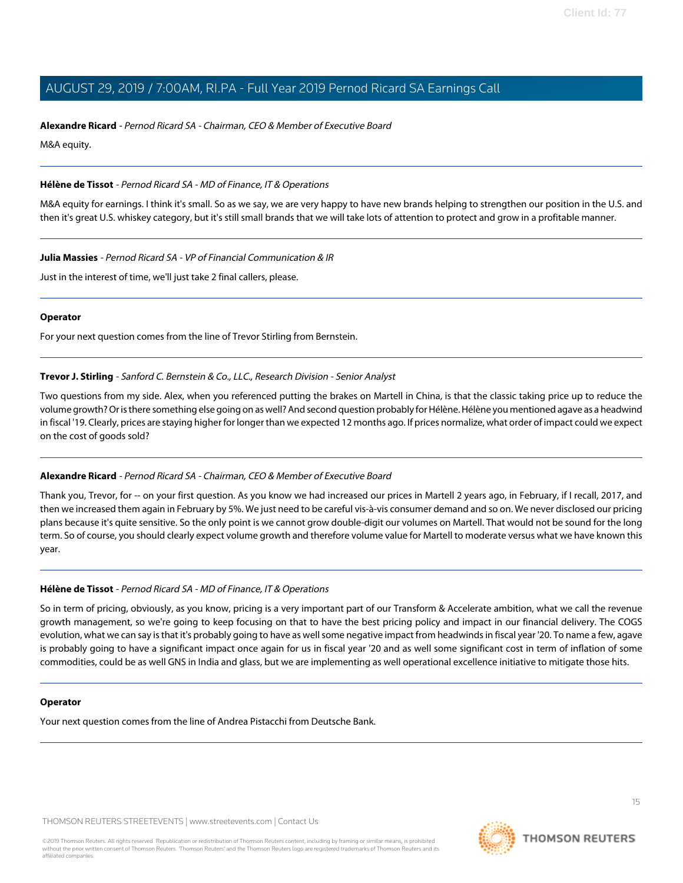#### **Alexandre Ricard** - Pernod Ricard SA - Chairman, CEO & Member of Executive Board

M&A equity.

## **Hélène de Tissot** - Pernod Ricard SA - MD of Finance, IT & Operations

M&A equity for earnings. I think it's small. So as we say, we are very happy to have new brands helping to strengthen our position in the U.S. and then it's great U.S. whiskey category, but it's still small brands that we will take lots of attention to protect and grow in a profitable manner.

**Julia Massies** - Pernod Ricard SA - VP of Financial Communication & IR

Just in the interest of time, we'll just take 2 final callers, please.

#### **Operator**

<span id="page-14-0"></span>For your next question comes from the line of Trevor Stirling from Bernstein.

## **Trevor J. Stirling** - Sanford C. Bernstein & Co., LLC., Research Division - Senior Analyst

Two questions from my side. Alex, when you referenced putting the brakes on Martell in China, is that the classic taking price up to reduce the volume growth? Or is there something else going on as well? And second question probably for Hélène. Hélène you mentioned agave as a headwind in fiscal '19. Clearly, prices are staying higher for longer than we expected 12 months ago. If prices normalize, what order of impact could we expect on the cost of goods sold?

## **Alexandre Ricard** - Pernod Ricard SA - Chairman, CEO & Member of Executive Board

Thank you, Trevor, for -- on your first question. As you know we had increased our prices in Martell 2 years ago, in February, if I recall, 2017, and then we increased them again in February by 5%. We just need to be careful vis-à-vis consumer demand and so on. We never disclosed our pricing plans because it's quite sensitive. So the only point is we cannot grow double-digit our volumes on Martell. That would not be sound for the long term. So of course, you should clearly expect volume growth and therefore volume value for Martell to moderate versus what we have known this year.

## **Hélène de Tissot** - Pernod Ricard SA - MD of Finance, IT & Operations

So in term of pricing, obviously, as you know, pricing is a very important part of our Transform & Accelerate ambition, what we call the revenue growth management, so we're going to keep focusing on that to have the best pricing policy and impact in our financial delivery. The COGS evolution, what we can say is that it's probably going to have as well some negative impact from headwinds in fiscal year '20. To name a few, agave is probably going to have a significant impact once again for us in fiscal year '20 and as well some significant cost in term of inflation of some commodities, could be as well GNS in India and glass, but we are implementing as well operational excellence initiative to mitigate those hits.

#### **Operator**

Your next question comes from the line of Andrea Pistacchi from Deutsche Bank.

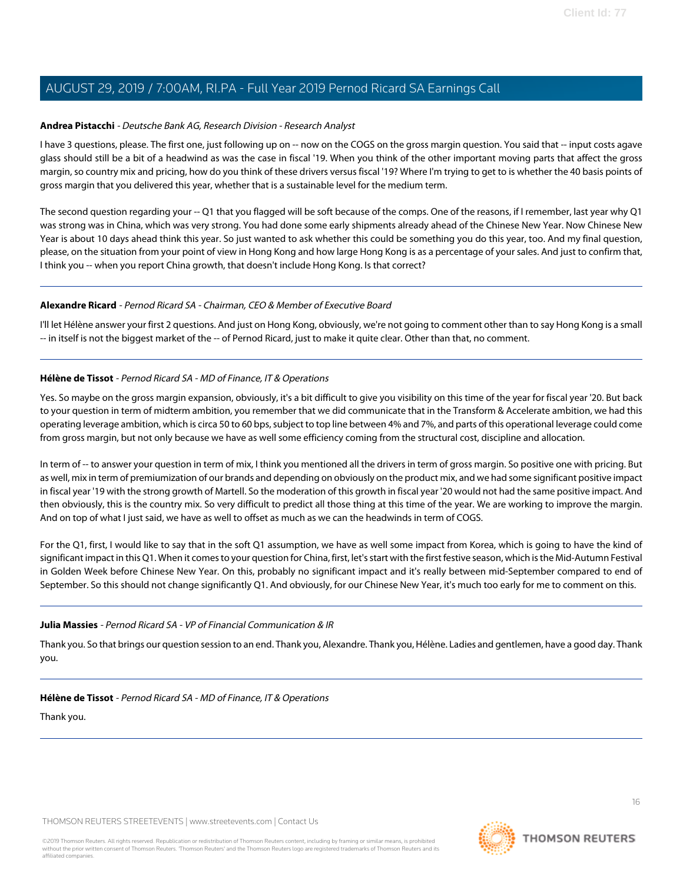## <span id="page-15-0"></span>**Andrea Pistacchi** - Deutsche Bank AG, Research Division - Research Analyst

I have 3 questions, please. The first one, just following up on -- now on the COGS on the gross margin question. You said that -- input costs agave glass should still be a bit of a headwind as was the case in fiscal '19. When you think of the other important moving parts that affect the gross margin, so country mix and pricing, how do you think of these drivers versus fiscal '19? Where I'm trying to get to is whether the 40 basis points of gross margin that you delivered this year, whether that is a sustainable level for the medium term.

The second question regarding your -- Q1 that you flagged will be soft because of the comps. One of the reasons, if I remember, last year why Q1 was strong was in China, which was very strong. You had done some early shipments already ahead of the Chinese New Year. Now Chinese New Year is about 10 days ahead think this year. So just wanted to ask whether this could be something you do this year, too. And my final question, please, on the situation from your point of view in Hong Kong and how large Hong Kong is as a percentage of your sales. And just to confirm that, I think you -- when you report China growth, that doesn't include Hong Kong. Is that correct?

#### **Alexandre Ricard** - Pernod Ricard SA - Chairman, CEO & Member of Executive Board

I'll let Hélène answer your first 2 questions. And just on Hong Kong, obviously, we're not going to comment other than to say Hong Kong is a small -- in itself is not the biggest market of the -- of Pernod Ricard, just to make it quite clear. Other than that, no comment.

## **Hélène de Tissot** - Pernod Ricard SA - MD of Finance, IT & Operations

Yes. So maybe on the gross margin expansion, obviously, it's a bit difficult to give you visibility on this time of the year for fiscal year '20. But back to your question in term of midterm ambition, you remember that we did communicate that in the Transform & Accelerate ambition, we had this operating leverage ambition, which is circa 50 to 60 bps, subject to top line between 4% and 7%, and parts of this operational leverage could come from gross margin, but not only because we have as well some efficiency coming from the structural cost, discipline and allocation.

In term of -- to answer your question in term of mix, I think you mentioned all the drivers in term of gross margin. So positive one with pricing. But as well, mix in term of premiumization of our brands and depending on obviously on the product mix, and we had some significant positive impact in fiscal year '19 with the strong growth of Martell. So the moderation of this growth in fiscal year '20 would not had the same positive impact. And then obviously, this is the country mix. So very difficult to predict all those thing at this time of the year. We are working to improve the margin. And on top of what I just said, we have as well to offset as much as we can the headwinds in term of COGS.

For the Q1, first, I would like to say that in the soft Q1 assumption, we have as well some impact from Korea, which is going to have the kind of significant impact in this Q1. When it comes to your question for China, first, let's start with the first festive season, which is the Mid-Autumn Festival in Golden Week before Chinese New Year. On this, probably no significant impact and it's really between mid-September compared to end of September. So this should not change significantly Q1. And obviously, for our Chinese New Year, it's much too early for me to comment on this.

#### **Julia Massies** - Pernod Ricard SA - VP of Financial Communication & IR

Thank you. So that brings our question session to an end. Thank you, Alexandre. Thank you, Hélène. Ladies and gentlemen, have a good day. Thank you.

## **Hélène de Tissot** - Pernod Ricard SA - MD of Finance, IT & Operations

Thank you.